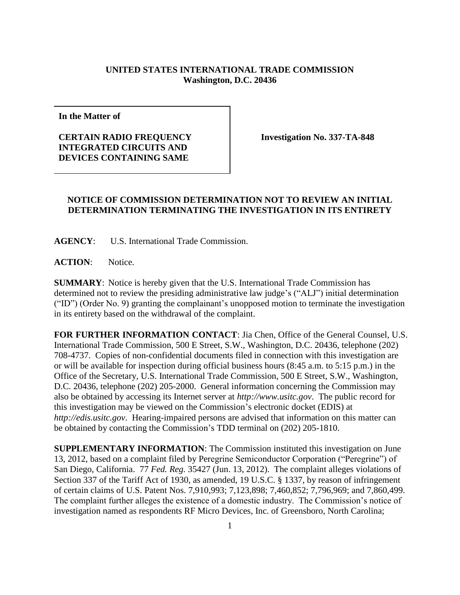## **UNITED STATES INTERNATIONAL TRADE COMMISSION Washington, D.C. 20436**

**In the Matter of**

## **CERTAIN RADIO FREQUENCY INTEGRATED CIRCUITS AND DEVICES CONTAINING SAME**

**Investigation No. 337-TA-848**

## **NOTICE OF COMMISSION DETERMINATION NOT TO REVIEW AN INITIAL DETERMINATION TERMINATING THE INVESTIGATION IN ITS ENTIRETY**

**AGENCY**: U.S. International Trade Commission.

**ACTION**: Notice.

**SUMMARY**: Notice is hereby given that the U.S. International Trade Commission has determined not to review the presiding administrative law judge's ("ALJ") initial determination ("ID") (Order No. 9) granting the complainant's unopposed motion to terminate the investigation in its entirety based on the withdrawal of the complaint.

**FOR FURTHER INFORMATION CONTACT**: Jia Chen, Office of the General Counsel, U.S. International Trade Commission, 500 E Street, S.W., Washington, D.C. 20436, telephone (202) 708-4737. Copies of non-confidential documents filed in connection with this investigation are or will be available for inspection during official business hours (8:45 a.m. to 5:15 p.m.) in the Office of the Secretary, U.S. International Trade Commission, 500 E Street, S.W., Washington, D.C. 20436, telephone (202) 205-2000. General information concerning the Commission may also be obtained by accessing its Internet server at *http://www.usitc.gov*. The public record for this investigation may be viewed on the Commission's electronic docket (EDIS) at *http://edis.usitc.gov*. Hearing-impaired persons are advised that information on this matter can be obtained by contacting the Commission's TDD terminal on (202) 205-1810.

**SUPPLEMENTARY INFORMATION**: The Commission instituted this investigation on June 13, 2012, based on a complaint filed by Peregrine Semiconductor Corporation ("Peregrine") of San Diego, California. 77 *Fed. Reg.* 35427 (Jun. 13, 2012). The complaint alleges violations of Section 337 of the Tariff Act of 1930, as amended, 19 U.S.C. § 1337, by reason of infringement of certain claims of U.S. Patent Nos. 7,910,993; 7,123,898; 7,460,852; 7,796,969; and 7,860,499. The complaint further alleges the existence of a domestic industry. The Commission's notice of investigation named as respondents RF Micro Devices, Inc. of Greensboro, North Carolina;